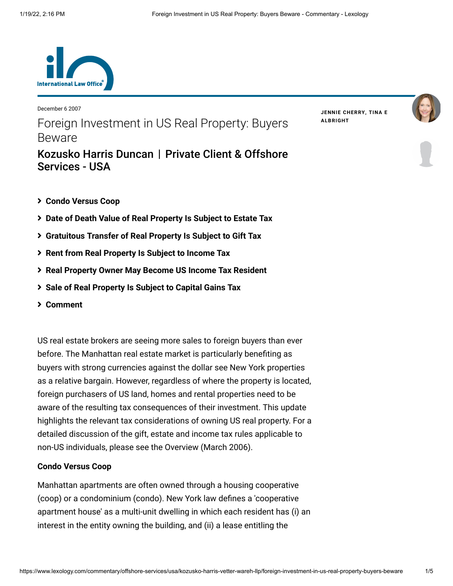

December 6 2007 Foreign Investment in US Real Property: Buyers Beware

[Kozusko Harris Duncan](https://www.lexology.com/contributors/23364) | Private Client & Offshore

**JENNIE [CHERRY,](https://www.lexology.com/23364/author/Jennie_Cherry/) TINA E [ALBRIGHT](https://www.lexology.com/23364/author/Tina_E_Albright/)**



# **[Condo Versus Coop](#page-0-0)**

Services - USA

- **[Date of Death Value of Real Property Is Subject to Estate Tax](#page-1-0)**
- **[Gratuitous Transfer of Real Property Is Subject to Gift Tax](#page-2-0)**
- **[Rent from Real Property Is Subject to Income Tax](#page-2-1)**
- **[Real Property Owner May Become US Income Tax Resident](#page-2-2)**
- **[Sale of Real Property Is Subject to Capital Gains Tax](#page-3-0)**
- **[Comment](#page-4-0)**

US real estate brokers are seeing more sales to foreign buyers than ever before. The Manhattan real estate market is particularly benefiting as buyers with strong currencies against the dollar see New York properties as a relative bargain. However, regardless of where the property is located, foreign purchasers of US land, homes and rental properties need to be aware of the resulting tax consequences of their investment. This update highlights the relevant tax considerations of owning US real property. For a detailed discussion of the gift, estate and income tax rules applicable to non-US individuals, please see the [Overview \(March 2006\)](http://www.internationallawoffice.com/Newsletters/Detail.aspx?r=12263).

#### <span id="page-0-0"></span>**Condo Versus Coop**

Manhattan apartments are often owned through a housing cooperative (coop) or a condominium (condo). New York law defines a 'cooperative apartment house' as a multi-unit dwelling in which each resident has (i) an interest in the entity owning the building, and (ii) a lease entitling the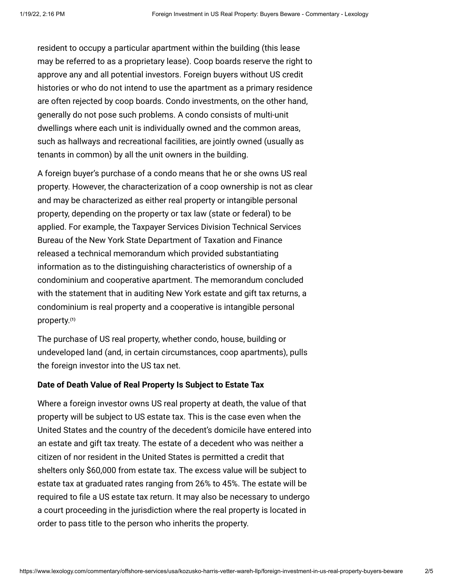resident to occupy a particular apartment within the building (this lease may be referred to as a proprietary lease). Coop boards reserve the right to approve any and all potential investors. Foreign buyers without US credit histories or who do not intend to use the apartment as a primary residence are often rejected by coop boards. Condo investments, on the other hand, generally do not pose such problems. A condo consists of multi-unit dwellings where each unit is individually owned and the common areas, such as hallways and recreational facilities, are jointly owned (usually as tenants in common) by all the unit owners in the building.

A foreign buyer's purchase of a condo means that he or she owns US real property. However, the characterization of a coop ownership is not as clear and may be characterized as either real property or intangible personal property, depending on the property or tax law (state or federal) to be applied. For example, the Taxpayer Services Division Technical Services Bureau of the New York State Department of Taxation and Finance released a technical memorandum which provided substantiating information as to the distinguishing characteristics of ownership of a condominium and cooperative apartment. The memorandum concluded with the statement that in auditing New York estate and gift tax returns, a condominium is real property and a cooperative is intangible personal property. **[\(1\)](#page-4-1)**

The purchase of US real property, whether condo, house, building or undeveloped land (and, in certain circumstances, coop apartments), pulls the foreign investor into the US tax net.

#### <span id="page-1-0"></span>**Date of Death Value of Real Property Is Subject to Estate Tax**

Where a foreign investor owns US real property at death, the value of that property will be subject to US estate tax. This is the case even when the United States and the country of the decedent's domicile have entered into an estate and gift tax treaty. The estate of a decedent who was neither a citizen of nor resident in the United States is permitted a credit that shelters only \$60,000 from estate tax. The excess value will be subject to estate tax at graduated rates ranging from 26% to 45%. The estate will be required to file a US estate tax return. It may also be necessary to undergo a court proceeding in the jurisdiction where the real property is located in order to pass title to the person who inherits the property.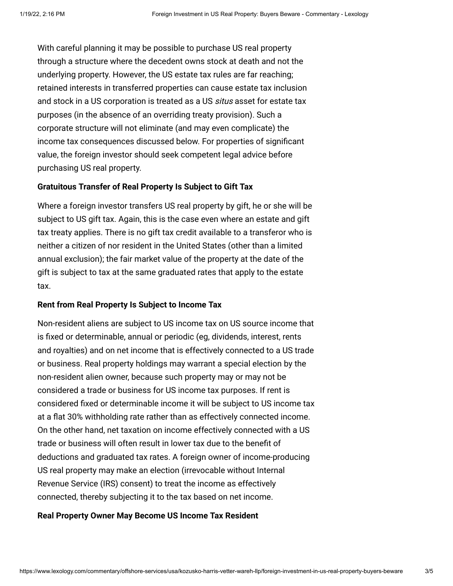With careful planning it may be possible to purchase US real property through a structure where the decedent owns stock at death and not the underlying property. However, the US estate tax rules are far reaching; retained interests in transferred properties can cause estate tax inclusion and stock in a US corporation is treated as a US situs asset for estate tax purposes (in the absence of an overriding treaty provision). Such a corporate structure will not eliminate (and may even complicate) the income tax consequences discussed below. For properties of significant value, the foreign investor should seek competent legal advice before purchasing US real property.

### <span id="page-2-0"></span>**Gratuitous Transfer of Real Property Is Subject to Gift Tax**

Where a foreign investor transfers US real property by gift, he or she will be subject to US gift tax. Again, this is the case even where an estate and gift tax treaty applies. There is no gift tax credit available to a transferor who is neither a citizen of nor resident in the United States (other than a limited annual exclusion); the fair market value of the property at the date of the gift is subject to tax at the same graduated rates that apply to the estate tax.

#### <span id="page-2-1"></span>**Rent from Real Property Is Subject to Income Tax**

Non-resident aliens are subject to US income tax on US source income that is fixed or determinable, annual or periodic (eg, dividends, interest, rents and royalties) and on net income that is effectively connected to a US trade or business. Real property holdings may warrant a special election by the non-resident alien owner, because such property may or may not be considered a trade or business for US income tax purposes. If rent is considered fixed or determinable income it will be subject to US income tax at a flat 30% withholding rate rather than as effectively connected income. On the other hand, net taxation on income effectively connected with a US trade or business will often result in lower tax due to the benefit of deductions and graduated tax rates. A foreign owner of income-producing US real property may make an election (irrevocable without Internal Revenue Service (IRS) consent) to treat the income as effectively connected, thereby subjecting it to the tax based on net income.

#### <span id="page-2-2"></span>**Real Property Owner May Become US Income Tax Resident**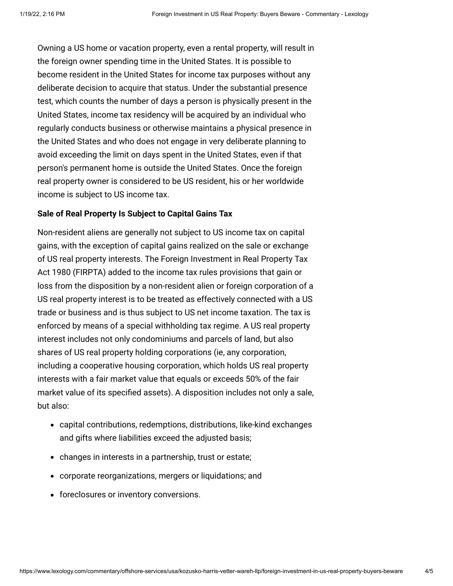Owning a US home or vacation property, even a rental property, will result in the foreign owner spending time in the United States. It is possible to become resident in the United States for income tax purposes without any deliberate decision to acquire that status. Under the substantial presence test, which counts the number of days a person is physically present in the United States, income tax residency will be acquired by an individual who regularly conducts business or otherwise maintains a physical presence in the United States and who does not engage in very deliberate planning to avoid exceeding the limit on days spent in the United States, even if that person's permanent home is outside the United States. Once the foreign real property owner is considered to be US resident, his or her worldwide income is subject to US income tax.

### <span id="page-3-0"></span>**Sale of Real Property Is Subject to Capital Gains Tax**

Non-resident aliens are generally not subject to US income tax on capital gains, with the exception of capital gains realized on the sale or exchange of US real property interests. The Foreign Investment in Real Property Tax Act 1980 (FIRPTA) added to the income tax rules provisions that gain or loss from the disposition by a non-resident alien or foreign corporation of a US real property interest is to be treated as effectively connected with a US trade or business and is thus subject to US net income taxation. The tax is enforced by means of a special withholding tax regime. A US real property interest includes not only condominiums and parcels of land, but also shares of US real property holding corporations (ie, any corporation, including a cooperative housing corporation, which holds US real property interests with a fair market value that equals or exceeds 50% of the fair market value of its specified assets). A disposition includes not only a sale, but also:

- capital contributions, redemptions, distributions, like-kind exchanges and gifts where liabilities exceed the adjusted basis;
- changes in interests in a partnership, trust or estate;
- corporate reorganizations, mergers or liquidations; and
- foreclosures or inventory conversions.